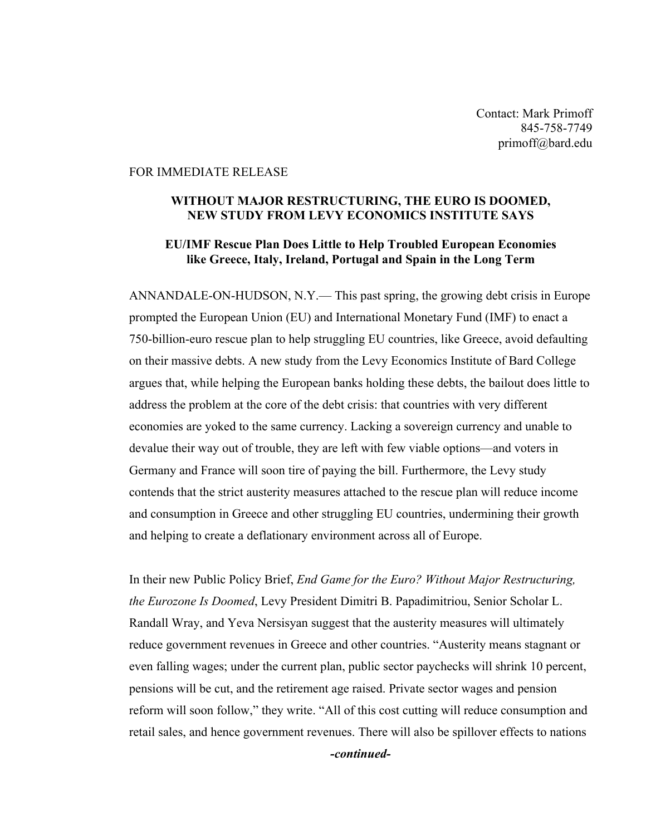Contact: Mark Primoff 845-758-7749 primoff@bard.edu

## FOR IMMEDIATE RELEASE

## **WITHOUT MAJOR RESTRUCTURING, THE EURO IS DOOMED, NEW STUDY FROM LEVY ECONOMICS INSTITUTE SAYS**

## **EU/IMF Rescue Plan Does Little to Help Troubled European Economies like Greece, Italy, Ireland, Portugal and Spain in the Long Term**

ANNANDALE-ON-HUDSON, N.Y.— This past spring, the growing debt crisis in Europe prompted the European Union (EU) and International Monetary Fund (IMF) to enact a 750-billion-euro rescue plan to help struggling EU countries, like Greece, avoid defaulting on their massive debts. A new study from the Levy Economics Institute of Bard College argues that, while helping the European banks holding these debts, the bailout does little to address the problem at the core of the debt crisis: that countries with very different economies are yoked to the same currency. Lacking a sovereign currency and unable to devalue their way out of trouble, they are left with few viable options—and voters in Germany and France will soon tire of paying the bill. Furthermore, the Levy study contends that the strict austerity measures attached to the rescue plan will reduce income and consumption in Greece and other struggling EU countries, undermining their growth and helping to create a deflationary environment across all of Europe.

In their new Public Policy Brief, *End Game for the Euro? Without Major Restructuring, the Eurozone Is Doomed*, Levy President Dimitri B. Papadimitriou, Senior Scholar L. Randall Wray, and Yeva Nersisyan suggest that the austerity measures will ultimately reduce government revenues in Greece and other countries. "Austerity means stagnant or even falling wages; under the current plan, public sector paychecks will shrink 10 percent, pensions will be cut, and the retirement age raised. Private sector wages and pension reform will soon follow," they write. "All of this cost cutting will reduce consumption and retail sales, and hence government revenues. There will also be spillover effects to nations

*-continued-*